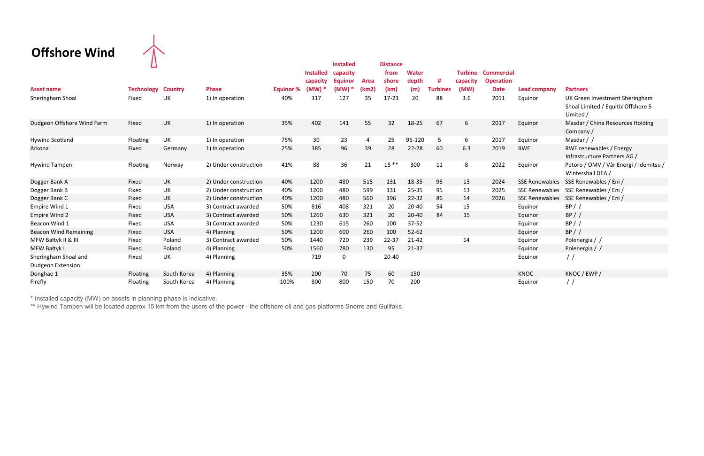## Offshore Wind  $\uparrow$



|                                                  | ப                 |                |                       |                  |                  | <b>Installed</b> |             | <b>Distance</b> |              |                 |                |                   |                       |                                                                                   |
|--------------------------------------------------|-------------------|----------------|-----------------------|------------------|------------------|------------------|-------------|-----------------|--------------|-----------------|----------------|-------------------|-----------------------|-----------------------------------------------------------------------------------|
|                                                  |                   |                |                       |                  | <b>Installed</b> | capacity         |             | from            | <b>Water</b> |                 | <b>Turbine</b> | <b>Commercial</b> |                       |                                                                                   |
|                                                  |                   |                |                       |                  | capacity         | Eauinor          | <b>Area</b> | shore           | depth        | #               | capacity       | <b>Operation</b>  |                       |                                                                                   |
| <b>Asset name</b>                                | <b>Technology</b> | <b>Country</b> | <b>Phase</b>          | <b>Equinor %</b> | (MW)             | (MW)             | (km2)       | (km)            | (m)          | <b>Turbines</b> | (MW)           | <b>Date</b>       | <b>Lead company</b>   | <b>Partners</b>                                                                   |
| Sheringham Shoal                                 | Fixed             | <b>UK</b>      | 1) In operation       | 40%              | 317              | 127              | 35          | $17 - 23$       | 20           | 88              | 3.6            | 2011              | Equinor               | UK Green Investment Sheringham<br>Shoal Limited / Equitix Offshore 5<br>Limited / |
| Dudgeon Offshore Wind Farm                       | Fixed             | UK             | 1) In operation       | 35%              | 402              | 141              | 55          | 32              | 18-25        | 67              | 6              | 2017              | Equinor               | Masdar / China Resources Holding<br>Company/                                      |
| <b>Hywind Scotland</b>                           | Floating          | UK             | 1) In operation       | 75%              | 30               | 23               | 4           | 25              | 95-120       | 5               | 6              | 2017              | Equinor               | Masdar / /                                                                        |
| Arkona                                           | Fixed             | Germany        | 1) In operation       | 25%              | 385              | 96               | 39          | 28              | 22-28        | 60              | 6.3            | 2019              | <b>RWE</b>            | RWE renewables / Energy<br>Infrastructure Partners AG /                           |
| <b>Hywind Tampen</b>                             | Floating          | Norway         | 2) Under construction | 41%              | 88               | 36               | 21          | $15***$         | 300          | 11              | 8              | 2022              | Equinor               | Petoro / OMV / Vår Energi / Idemitsu /<br>Wintershall DEA /                       |
| Dogger Bank A                                    | Fixed             | <b>UK</b>      | 2) Under construction | 40%              | 1200             | 480              | 515         | 131             | 18-35        | 95              | 13             | 2024              | <b>SSE Renewables</b> | SSE Renewables / Eni /                                                            |
| Dogger Bank B                                    | Fixed             | <b>UK</b>      | 2) Under construction | 40%              | 1200             | 480              | 599         | 131             | 25-35        | 95              | 13             | 2025              | <b>SSE Renewables</b> | SSE Renewables / Eni /                                                            |
| Dogger Bank C                                    | Fixed             | <b>UK</b>      | 2) Under construction | 40%              | 1200             | 480              | 560         | 196             | $22 - 32$    | 86              | 14             | 2026              | <b>SSE Renewables</b> | SSE Renewables / Eni /                                                            |
| Empire Wind 1                                    | Fixed             | <b>USA</b>     | 3) Contract awarded   | 50%              | 816              | 408              | 321         | 20              | 20-40        | 54              | 15             |                   | Equinor               | BP / /                                                                            |
| <b>Empire Wind 2</b>                             | Fixed             | <b>USA</b>     | 3) Contract awarded   | 50%              | 1260             | 630              | 321         | 20              | 20-40        | 84              | 15             |                   | Equinor               | BP / /                                                                            |
| Beacon Wind 1                                    | Fixed             | <b>USA</b>     | 3) Contract awarded   | 50%              | 1230             | 615              | 260         | 100             | $37 - 52$    |                 |                |                   | Equinor               | BP / /                                                                            |
| <b>Beacon Wind Remaining</b>                     | Fixed             | <b>USA</b>     | 4) Planning           | 50%              | 1200             | 600              | 260         | 100             | $52 - 62$    |                 |                |                   | Equinor               | BP / /                                                                            |
| MFW Bałtyk II & III                              | Fixed             | Poland         | 3) Contract awarded   | 50%              | 1440             | 720              | 239         | 22-37           | $21 - 42$    |                 | 14             |                   | Equinor               | Polenergia / /                                                                    |
| MFW Bałtyk I                                     | Fixed             | Poland         | 4) Planning           | 50%              | 1560             | 780              | 130         | 95              | $21 - 37$    |                 |                |                   | Equinor               | Polenergia / /                                                                    |
| Sheringham Shoal and<br><b>Dudgeon Extension</b> | Fixed             | UK             | 4) Planning           |                  | 719              | 0                |             | 20-40           |              |                 |                |                   | Equinor               | $\frac{1}{2}$                                                                     |
| Donghae 1                                        | Floating          | South Korea    | 4) Planning           | 35%              | 200              | 70               | 75          | 60              | 150          |                 |                |                   | <b>KNOC</b>           | KNOC / EWP /                                                                      |
| Firefly                                          | Floating          | South Korea    | 4) Planning           | 100%             | 800              | 800              | 150         | 70              | 200          |                 |                |                   | Equinor               | $\frac{1}{2}$                                                                     |

\* Installed capacity (MW) on assets in planning phase is indicative.

\*\* Hywind Tampen will be located approx 15 km from the users of the power - the offshore oil and gas platforms Snorre and Gullfaks.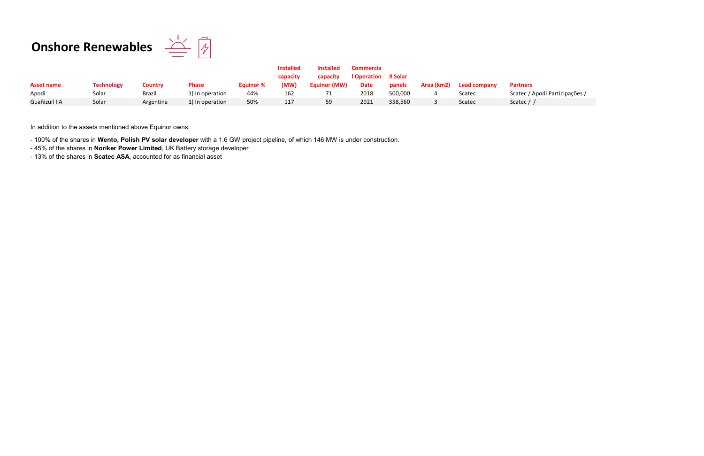## **Onshore Renewables**  $\frac{\sum_{i=1}^{n} \sqrt{2}}{2}$



|               |                   |           |                 |                  | <b>Installed</b> | <b>Installed</b>    | <b>Commercia</b>   |         |            |              |                 |
|---------------|-------------------|-----------|-----------------|------------------|------------------|---------------------|--------------------|---------|------------|--------------|-----------------|
|               |                   |           |                 |                  | capacity         | capacity            | <b>I</b> Operation | # Solar |            |              |                 |
| Asset name    | <b>Technology</b> | Country   | <b>Phase</b>    | <b>Equinor %</b> | (MW)             | <b>Equinor (MW)</b> | <b>Date</b>        | panels  | Area (km2) | Lead company | <b>Partners</b> |
| Apodi         | Solar             | Brazil    | 1) In operation | 44%              | 162              |                     | 2018               | 500,000 |            | Scatec       | Scatec / Ap     |
| Guañizuil IIA | Solar             | Argentina | 1) In operation | 50%              | 117              | 59                  | 2021               | 358,560 |            | Scatec       | Scatec $/$ /    |

In addition to the assets mentioned above Equinor owns:

- 100% of the shares in Wento, Polish PV solar developer with a 1.6 GW project pipeline, of which 146 MW is under construction.

- 45% of the shares in Noriker Power Limited, UK Battery storage developer
- 13% of the shares in Scatec ASA, accounted for as financial asset

atec / Apodi Participações /